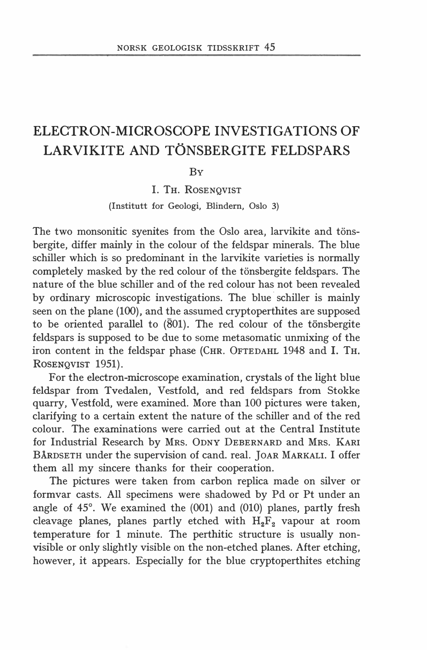# ELECTRON-MICROSCOPE INVESTIGATIONS OF LARVIKITE AND TONSBERGITE FELDSPARS

BY

I. TH. ROSENQVIST

(Institutt for Geologi, Blindern, Oslo 3)

The two monsonitic syenites from the Oslo area, larvikite and tonsbergite, differ mainly in the colour of the feldspar minerals. The blue schiller which is so predominant in the larvikite varieties is normally completely masked by the red colour of the tonsbergite feldspars. The nature of the blue schiller and of the red colour has not been revealed by ordinary microscopic investigations. The blue schiller is mainly seen on the plane (100), and the assumed cryptoperthites are supposed to be oriented parallel to  $(801)$ . The red colour of the tönsbergite feldspars is supposed to be due to some metasomatic unmixing of the iron content in the feldspar phase (CHR. 0FTEDAHL 1948 and I. TH. RosENQVIST 1951).

For the electron-microscope examination, crystals of the light blue feldspar from Tvedalen, Vestfold, and red feldspars from Stokke quarry, Vestfold, were examined. More than 100 pictures were taken, clarifying to a certain extent the nature of the schiller and of the red colour. The examinations were carried out at the Central Institute for Industrial Research by MRs. ODNY DEBERNARD and MRs. KARI BÅRDSETH under the supervision of cand. real. JOAR MARKALI. I offer them all my sincere thanks for their cooperation.

The pictures were taken from carbon replica made on silver or formvar casts. All specimens were shadowed by Pd or Pt under an angle of 45°. We examined the (001) and (010) planes, partly fresh cleavage planes, planes partly etched with  $H_2F_2$  vapour at room temperature for l minute. The perthitic structure is usually nonvisible or only slightly visible on the non-etched planes. After etching, however, it appears. Especially for the blue cryptoperthites etching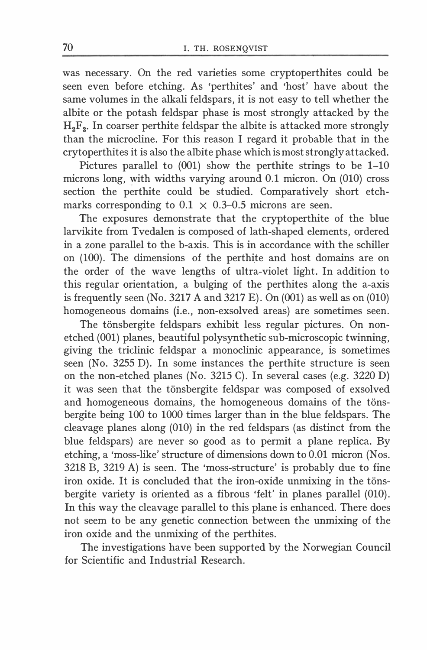was necessary. On the red varieties some cryptoperthites could be seen even before etching. As 'perthites' and 'host' have about the same volumes in the alkali feldspars, it is not easy to tell whether the albite or the potash feldspar phase is most strongly attacked by the  $H<sub>2</sub>F<sub>2</sub>$ . In coarser perthite feldspar the albite is attacked more strongly than the microcline. For this reason I regard it probable that in the crytoperthites it is also the albite phase which is most strongly attacked.

Pictures parallel to (001) show the perthite strings to be 1-10 microns long, with widths varying around O.l micron. On (010) cross section the perthite could be studied. Comparatively short etchmarks corresponding to  $0.1 \times 0.3$ –0.5 microns are seen.

The exposures demonstrate that the cryptoperthite of the blue larvikite from Tvedalen is composed of lath-shaped elements, ordered in a zone parallel to the b-axis. This is in accordance with the schiller on (100). The dimensions of the perthite and host domains are on the order of the wave lengths of ultra-violet light. In addition to this regular orientation, a bulging of the perthites along the a-axis is frequently seen (No. 3217 A and 3217 E). On (001) as well as on (010) homogeneous domains (i.e., non-exsolved areas) are sometimes seen.

The tönsbergite feldspars exhibit less regular pictures. On nonetched (001) planes, beautiful polysynthetic sub-microscopic twinning, giving the triclinic feldspar a monoclinic appearance, is sometimes seen (No. 3255 D). In some instances the perthite structure is seen on the non-etched planes (No. 3215 C). In several cases (e.g. 3220 D) it was seen that the tönsbergite feldspar was composed of exsolved and homogeneous domains, the homogeneous domains of the tonsbergite being 100 to 1000 times larger than in the blue feldspars. The cleavage planes along (010) in the red feldspars (as distinct from the blue feldspars) are never so good as to permit a plane replica. By etching, a 'moss-like' structure of dimensions down to 0.01 micron (Nos. 3218 B, 3219 A) is seen. The 'moss-structure' is probably due to fine iron oxide. It is concluded that the iron-oxide unmixing in the tönsbergite variety is oriented as a fibrous 'felt' in planes parallel (010). In this way the cleavage parallel to this plane is enhanced. There does not seem to be any genetic connection between the unmixing of the iron oxide and the unmixing of the perthites.

The investigations have been supported by the Norwegian Council for Scientific and Industrial Research.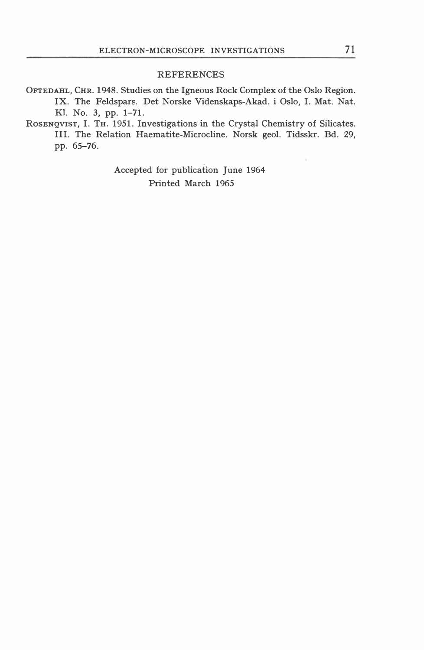#### REFERENCES

- 0FTEDAHL, CHR. 1948. Studies on the lgneous Rock Complex of the Oslo Region. IX. The Feldspars. Det Norske Videnskaps-Akad. i Oslo, I. Mat. Nat. Kl. No. 3, pp. 1-71.
- RosENQVIST, I. TH. 1951. Investigations in the Crystal Chemistry of Silicates. Ill. The Relation Haematite-Microcline. Norsk geol. Tidsskr. Bd. 29, pp. 65-76.

Accepted for publication June 1964 Printed March 1965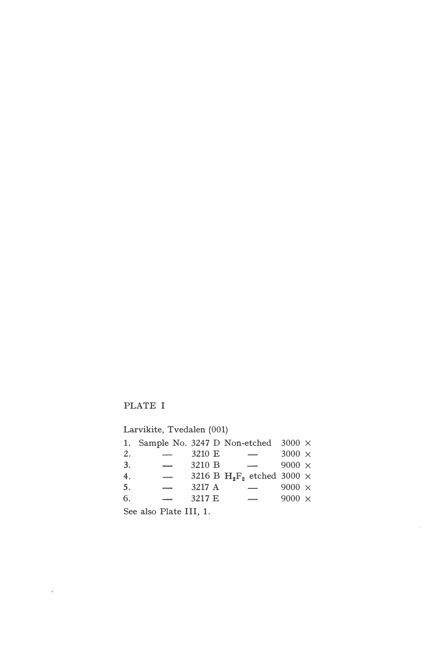## PLATE I

¥.

Larvikite, Tvedalen (001)

|                         |                          |        | 1. Sample No. 3247 D Non-etched 3000 $\times$ |               |  |  |
|-------------------------|--------------------------|--------|-----------------------------------------------|---------------|--|--|
| 2.                      | $\overline{\phantom{a}}$ | 3210 E | $\overline{\phantom{0}}$                      | $3000 \times$ |  |  |
| 3.                      | $\overline{\phantom{0}}$ | 3210 B |                                               | 9000 $\times$ |  |  |
| 4.                      |                          |        | 3216 B $H_2F_2$ etched 3000 $\times$          |               |  |  |
| 5.                      |                          | 3217 A |                                               | $9000 \times$ |  |  |
| 6.                      |                          | 3217 E | $\overline{\phantom{0}}$                      | 9000 $\times$ |  |  |
| $S00$ also $D0$ for $I$ |                          |        |                                               |               |  |  |

See also Plate Ill, l.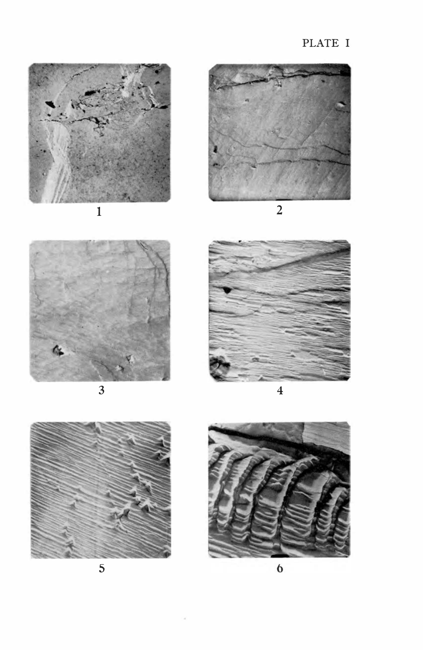## PLATE I



















5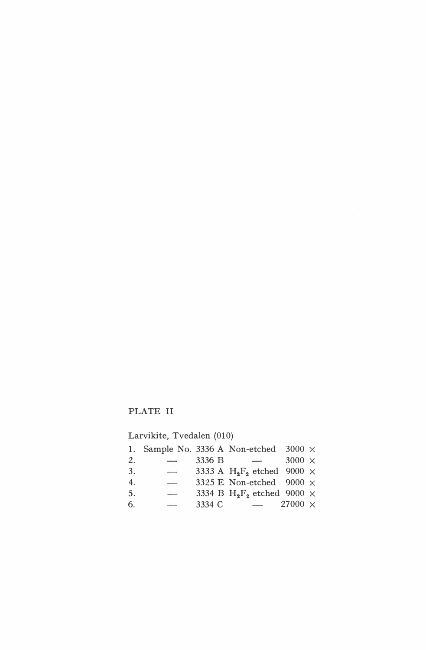### PLATE Il

Larvikite, Tvedalen (010)

|    |                          |        | 1. Sample No. 3336 A Non-etched 3000 $\times$             |                |  |
|----|--------------------------|--------|-----------------------------------------------------------|----------------|--|
| 2. | $\frac{1}{2}$            | 3336 B | $\sim$                                                    | $3000 \times$  |  |
| 3. | $\overline{a}$           |        | 3333 A H <sub>2</sub> F <sub>2</sub> etched 9000 $\times$ |                |  |
| 4. | $\overline{\phantom{a}}$ |        | 3325 E Non-etched 9000 $\times$                           |                |  |
| 5. | $\overline{\phantom{a}}$ |        | 3334 B $H_2F_2$ etched 9000 $\times$                      |                |  |
| 6. | --                       | 3334 C | $\sim$                                                    | $27000 \times$ |  |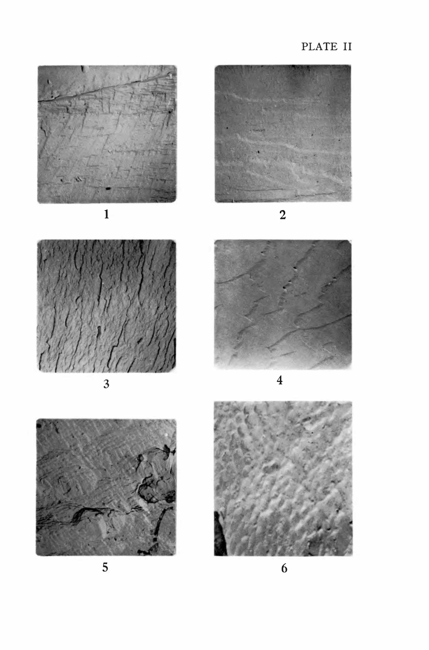



 $\overline{3}$ 



 $\overline{\mathbf{4}}$ 



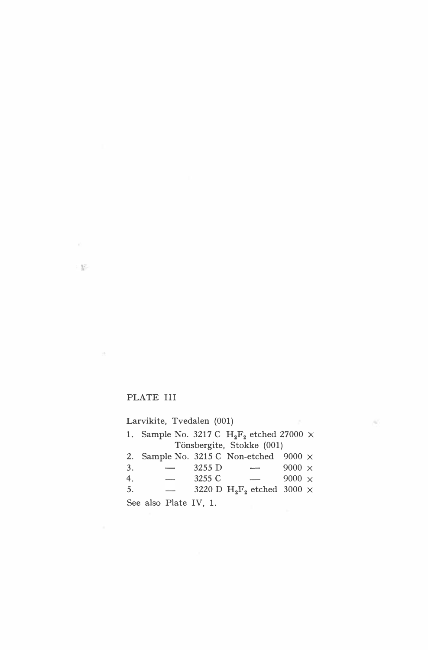#### PLATE Ill

 $\mathcal{R}$ 

Larvikite, Tvedalen (001) 1. Sample No. 3217 C $\rm\,H_2F_2$ etched 27000 $\times$ Tönsbergite, Stokke (001) 2. Sample No. 3215 C Non-etched 9000 X 3. - 3255 D - 9000 x<br>4. - 3255 C - 9000 x 4.  $\overline{\phantom{a}}$  $-$  9000  $\times$  $\overline{\phantom{0}}$ 3220 D  $H_2F_2$  etched 3000  $\times$ 5. See also Plate IV, l.

Q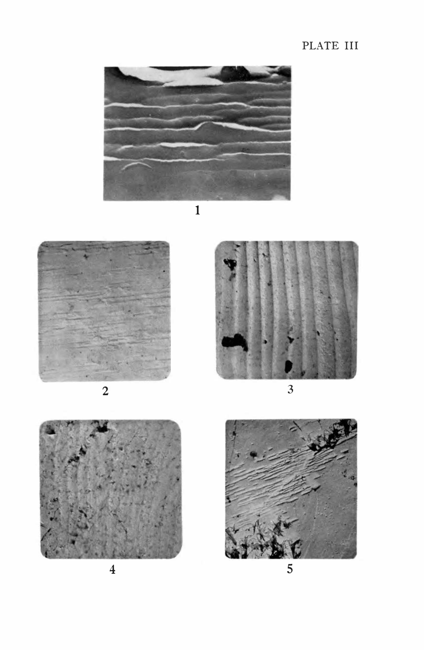## PLATE III



 $\mathbf{1}$ 



 $\overline{2}$ 



 $\overline{3}$ 



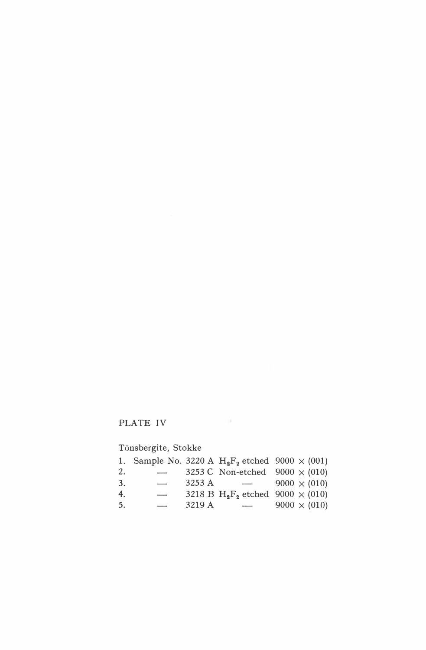# PLATE IV

Tönsbergite, Stokke

|    |                                 |        |                           | 1. Sample No. 3220 A $H_2F_2$ etched 9000 $\times$ (001)        |
|----|---------------------------------|--------|---------------------------|-----------------------------------------------------------------|
| 2. |                                 |        |                           | 3253 C Non-etched $9000 \times (010)$                           |
| 3. | $\overline{\phantom{a}}$        | 3253 A | $\sim$ 0.000 mm $^{-1}$ . | $9000 \times (010)$                                             |
| 4. | $\overbrace{\qquad \qquad }^{}$ |        |                           | 3218 B H <sub>2</sub> F <sub>2</sub> etched 9000 $\times$ (010) |
| 5. | -                               | 3219 A | $\sim$                    | $9000 \times (010)$                                             |